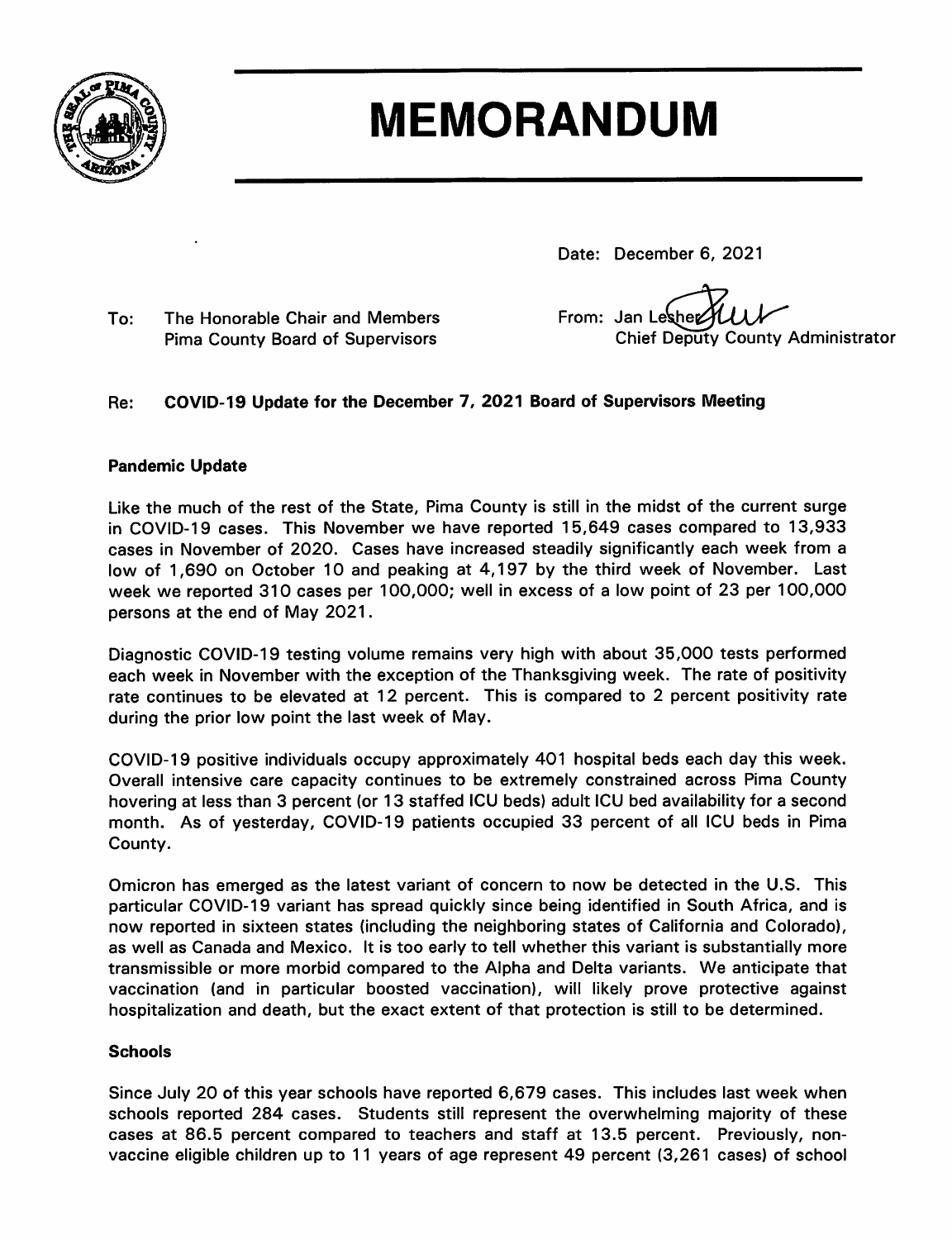

# **MEMORANDUM**

Date: December 6, 2021

The Honorable Chair and Members To: **Pima County Board of Supervisors** 

From: Jan Lesher **Chief Deputy County Administrator** 

#### COVID-19 Update for the December 7, 2021 Board of Supervisors Meeting Re:

#### **Pandemic Update**

Like the much of the rest of the State, Pima County is still in the midst of the current surge in COVID-19 cases. This November we have reported 15,649 cases compared to 13,933 cases in November of 2020. Cases have increased steadily significantly each week from a low of 1,690 on October 10 and peaking at 4,197 by the third week of November. Last week we reported 310 cases per 100,000; well in excess of a low point of 23 per 100,000 persons at the end of May 2021.

Diagnostic COVID-19 testing volume remains very high with about 35,000 tests performed each week in November with the exception of the Thanksgiving week. The rate of positivity rate continues to be elevated at 12 percent. This is compared to 2 percent positivity rate during the prior low point the last week of May.

COVID-19 positive individuals occupy approximately 401 hospital beds each day this week. Overall intensive care capacity continues to be extremely constrained across Pima County hovering at less than 3 percent (or 13 staffed ICU beds) adult ICU bed availability for a second month. As of yesterday, COVID-19 patients occupied 33 percent of all ICU beds in Pima County.

Omicron has emerged as the latest variant of concern to now be detected in the U.S. This particular COVID-19 variant has spread quickly since being identified in South Africa, and is now reported in sixteen states (including the neighboring states of California and Colorado), as well as Canada and Mexico. It is too early to tell whether this variant is substantially more transmissible or more morbid compared to the Alpha and Delta variants. We anticipate that vaccination (and in particular boosted vaccination), will likely prove protective against hospitalization and death, but the exact extent of that protection is still to be determined.

#### **Schools**

Since July 20 of this year schools have reported 6,679 cases. This includes last week when schools reported 284 cases. Students still represent the overwhelming majority of these cases at 86.5 percent compared to teachers and staff at 13.5 percent. Previously, nonvaccine eligible children up to 11 years of age represent 49 percent (3,261 cases) of school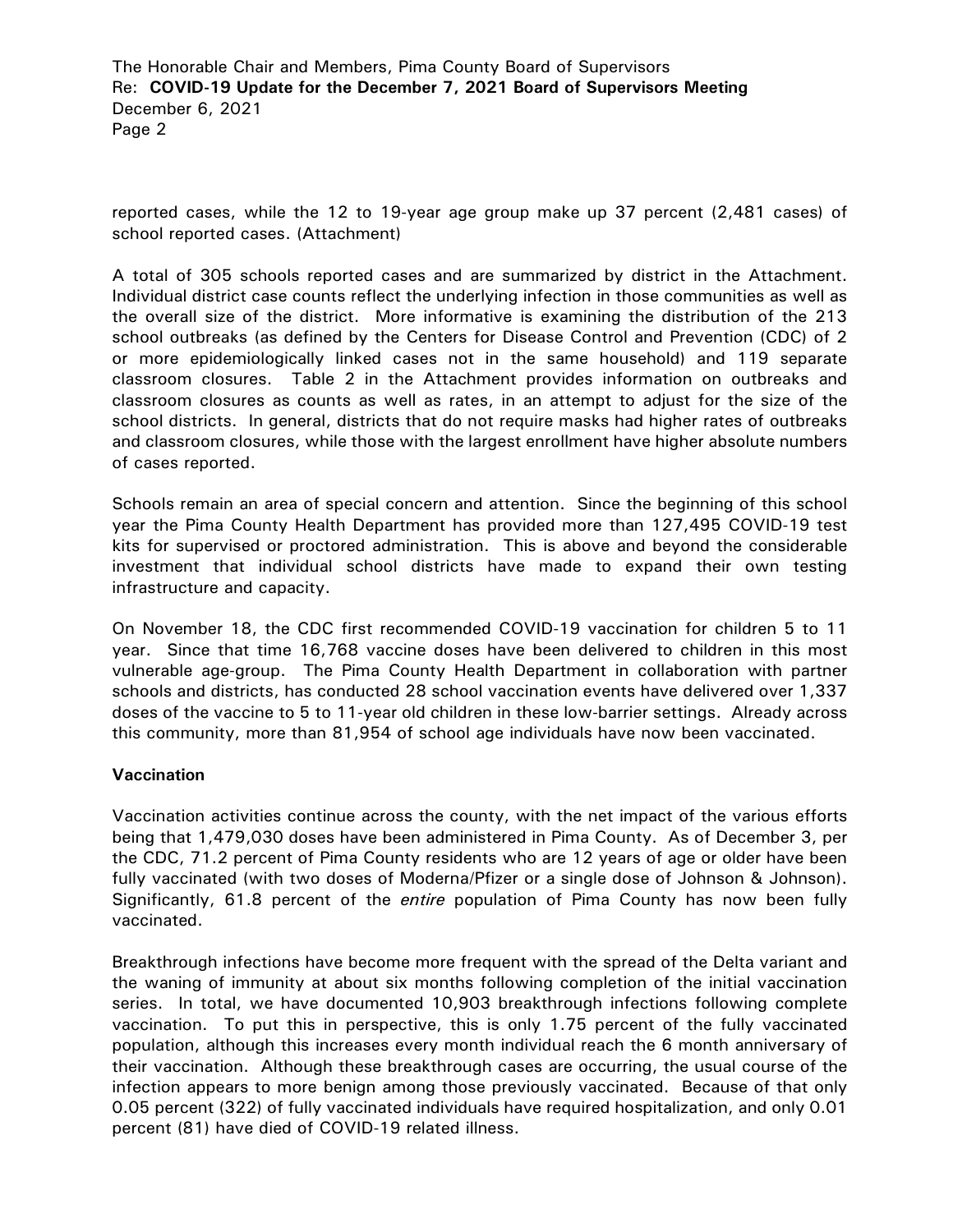The Honorable Chair and Members, Pima County Board of Supervisors Re: **COVID-19 Update for the December 7, 2021 Board of Supervisors Meeting** December 6, 2021 Page 2

reported cases, while the 12 to 19-year age group make up 37 percent (2,481 cases) of school reported cases. (Attachment)

A total of 305 schools reported cases and are summarized by district in the Attachment. Individual district case counts reflect the underlying infection in those communities as well as the overall size of the district. More informative is examining the distribution of the 213 school outbreaks (as defined by the Centers for Disease Control and Prevention (CDC) of 2 or more epidemiologically linked cases not in the same household) and 119 separate classroom closures. Table 2 in the Attachment provides information on outbreaks and classroom closures as counts as well as rates, in an attempt to adjust for the size of the school districts. In general, districts that do not require masks had higher rates of outbreaks and classroom closures, while those with the largest enrollment have higher absolute numbers of cases reported.

Schools remain an area of special concern and attention. Since the beginning of this school year the Pima County Health Department has provided more than 127,495 COVID-19 test kits for supervised or proctored administration. This is above and beyond the considerable investment that individual school districts have made to expand their own testing infrastructure and capacity.

On November 18, the CDC first recommended COVID-19 vaccination for children 5 to 11 year. Since that time 16,768 vaccine doses have been delivered to children in this most vulnerable age-group. The Pima County Health Department in collaboration with partner schools and districts, has conducted 28 school vaccination events have delivered over 1,337 doses of the vaccine to 5 to 11-year old children in these low-barrier settings. Already across this community, more than 81,954 of school age individuals have now been vaccinated.

#### **Vaccination**

Vaccination activities continue across the county, with the net impact of the various efforts being that 1,479,030 doses have been administered in Pima County. As of December 3, per the CDC, 71.2 percent of Pima County residents who are 12 years of age or older have been fully vaccinated (with two doses of Moderna/Pfizer or a single dose of Johnson & Johnson). Significantly, 61.8 percent of the *entire* population of Pima County has now been fully vaccinated.

Breakthrough infections have become more frequent with the spread of the Delta variant and the waning of immunity at about six months following completion of the initial vaccination series. In total, we have documented 10,903 breakthrough infections following complete vaccination. To put this in perspective, this is only 1.75 percent of the fully vaccinated population, although this increases every month individual reach the 6 month anniversary of their vaccination. Although these breakthrough cases are occurring, the usual course of the infection appears to more benign among those previously vaccinated. Because of that only 0.05 percent (322) of fully vaccinated individuals have required hospitalization, and only 0.01 percent (81) have died of COVID-19 related illness.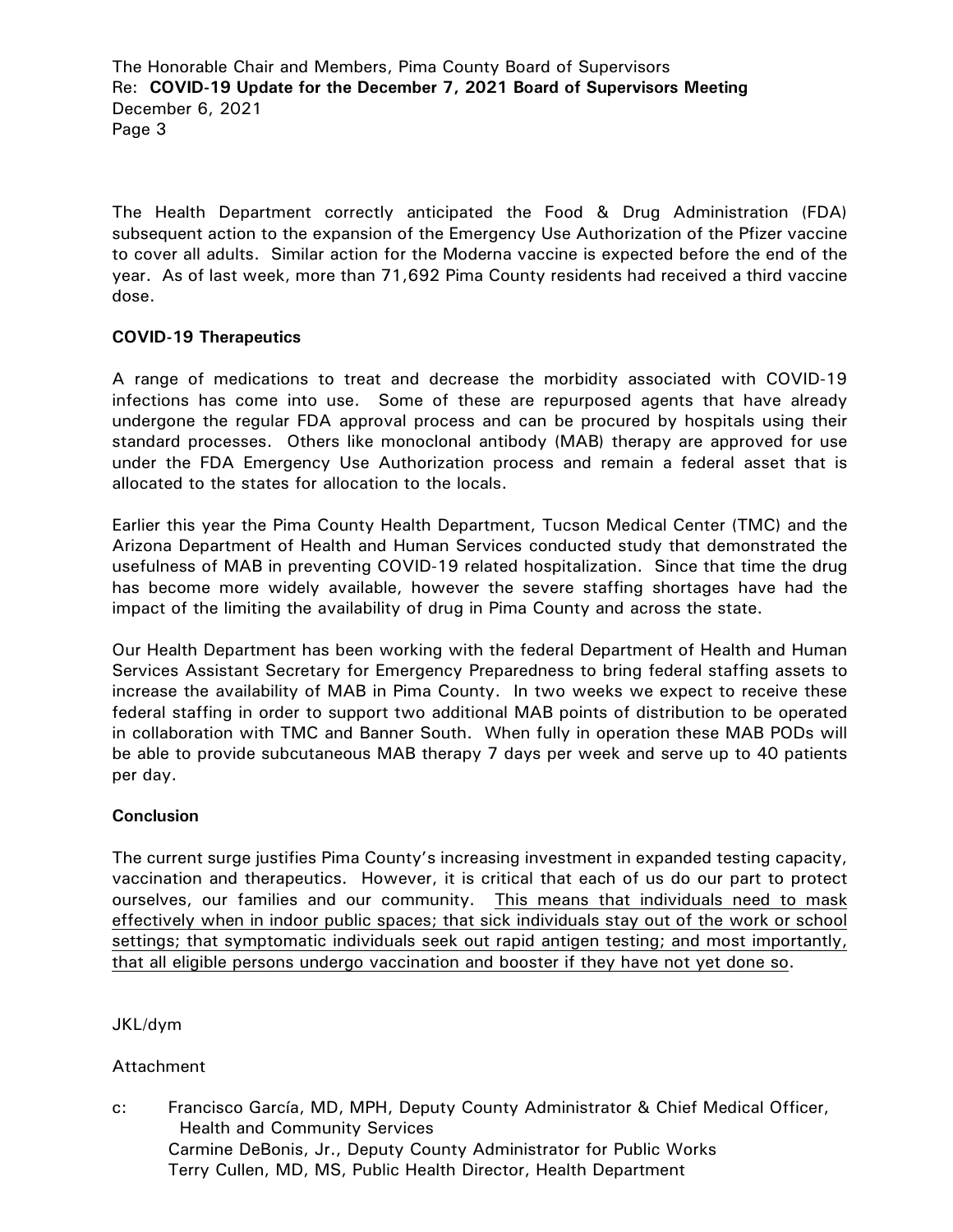The Honorable Chair and Members, Pima County Board of Supervisors Re: **COVID-19 Update for the December 7, 2021 Board of Supervisors Meeting** December 6, 2021 Page 3

The Health Department correctly anticipated the Food & Drug Administration (FDA) subsequent action to the expansion of the Emergency Use Authorization of the Pfizer vaccine to cover all adults. Similar action for the Moderna vaccine is expected before the end of the year. As of last week, more than 71,692 Pima County residents had received a third vaccine dose.

#### **COVID-19 Therapeutics**

A range of medications to treat and decrease the morbidity associated with COVID-19 infections has come into use. Some of these are repurposed agents that have already undergone the regular FDA approval process and can be procured by hospitals using their standard processes. Others like monoclonal antibody (MAB) therapy are approved for use under the FDA Emergency Use Authorization process and remain a federal asset that is allocated to the states for allocation to the locals.

Earlier this year the Pima County Health Department, Tucson Medical Center (TMC) and the Arizona Department of Health and Human Services conducted study that demonstrated the usefulness of MAB in preventing COVID-19 related hospitalization. Since that time the drug has become more widely available, however the severe staffing shortages have had the impact of the limiting the availability of drug in Pima County and across the state.

Our Health Department has been working with the federal Department of Health and Human Services Assistant Secretary for Emergency Preparedness to bring federal staffing assets to increase the availability of MAB in Pima County. In two weeks we expect to receive these federal staffing in order to support two additional MAB points of distribution to be operated in collaboration with TMC and Banner South. When fully in operation these MAB PODs will be able to provide subcutaneous MAB therapy 7 days per week and serve up to 40 patients per day.

#### **Conclusion**

The current surge justifies Pima County's increasing investment in expanded testing capacity, vaccination and therapeutics. However, it is critical that each of us do our part to protect ourselves, our families and our community. This means that individuals need to mask effectively when in indoor public spaces; that sick individuals stay out of the work or school settings; that symptomatic individuals seek out rapid antigen testing; and most importantly, that all eligible persons undergo vaccination and booster if they have not yet done so.

#### JKL/dym

#### Attachment

c: Francisco García, MD, MPH, Deputy County Administrator & Chief Medical Officer, Health and Community Services Carmine DeBonis, Jr., Deputy County Administrator for Public Works Terry Cullen, MD, MS, Public Health Director, Health Department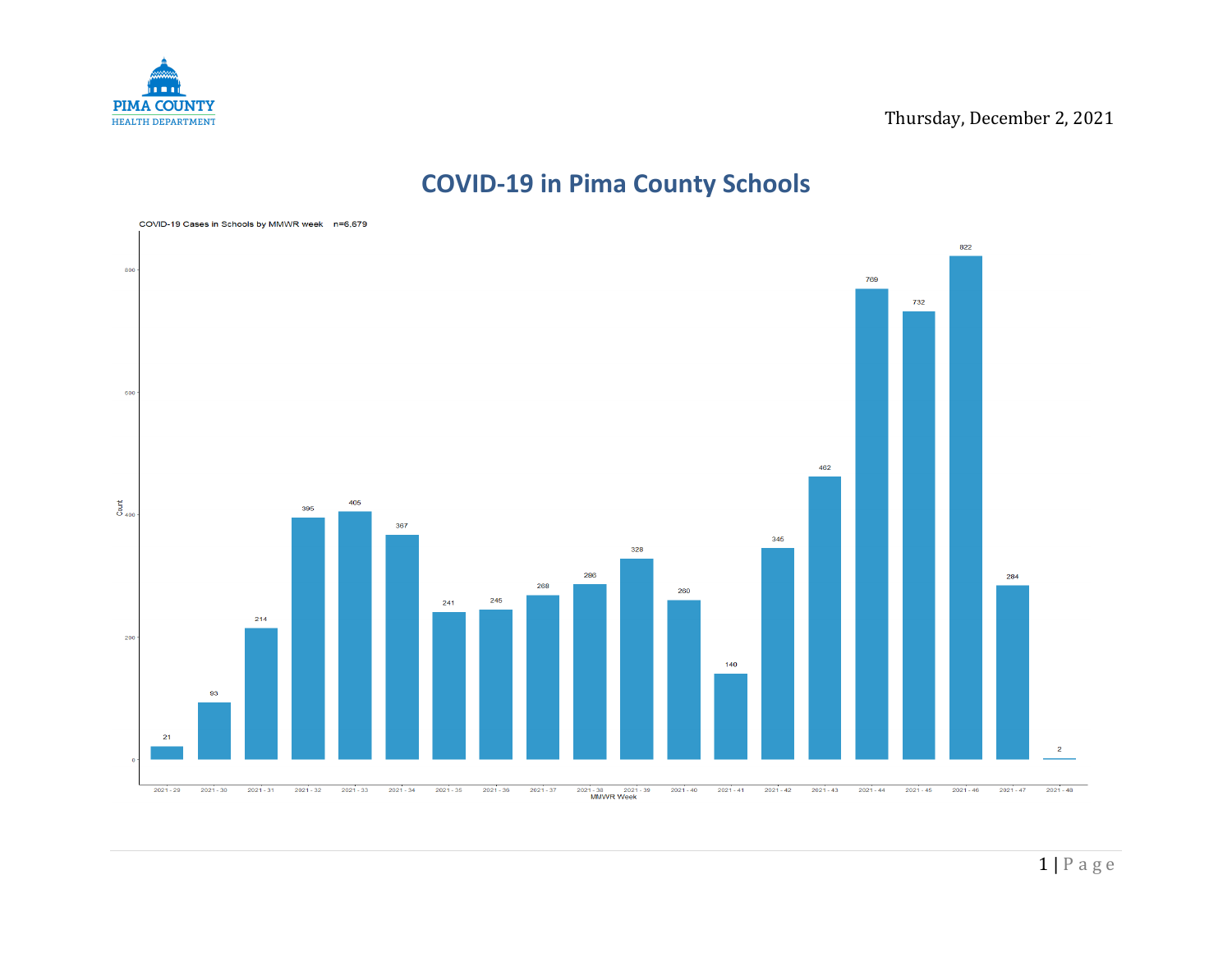

## **COVID-19 in Pima County Schools**

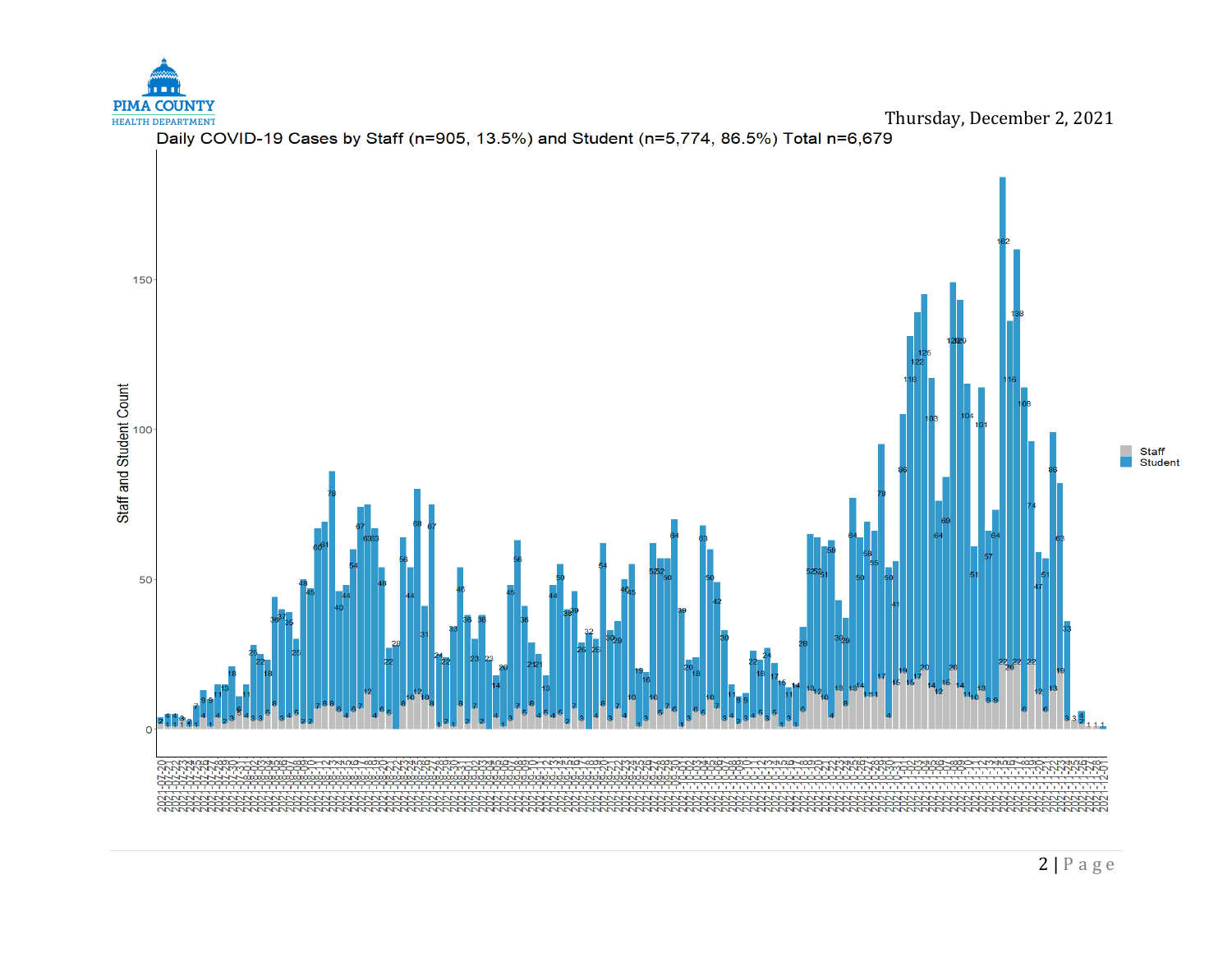

50

 $\overline{0}$   $\overline{2}$ 





**CONTRACTOR CONTRACTOR** 

0000-NMHMD-0000-NMHMD-0000

**ScoolDivideo** 

Staff<br>Student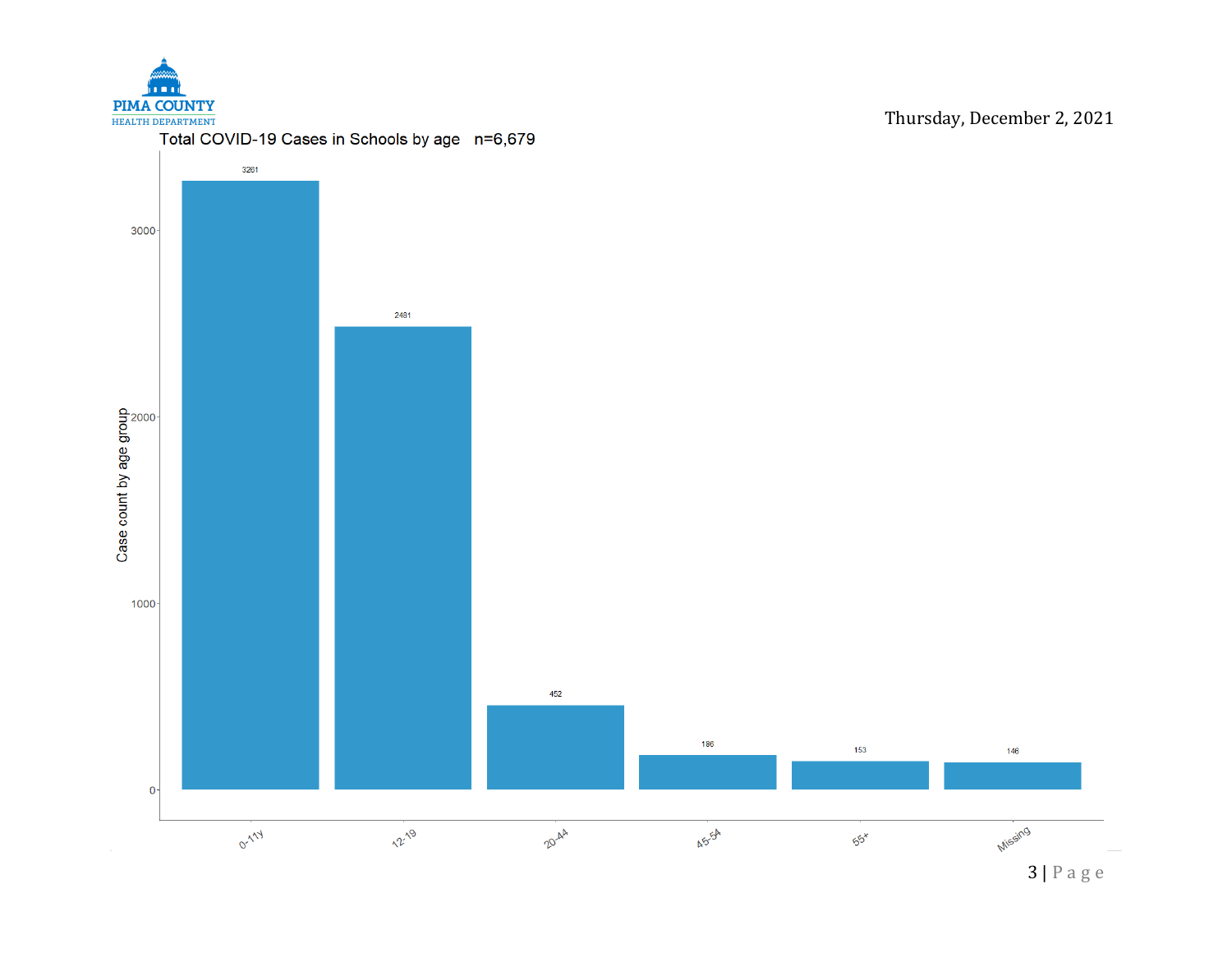

3261 3000 2481 Case count by age group  $\frac{80}{20}$  $1000 -$ 452 186 153 146  $\mathbf{0}$ Missing **0-1-14** 12-19 20-44 45-54  $55x$ 

Thursday, December 2, 2021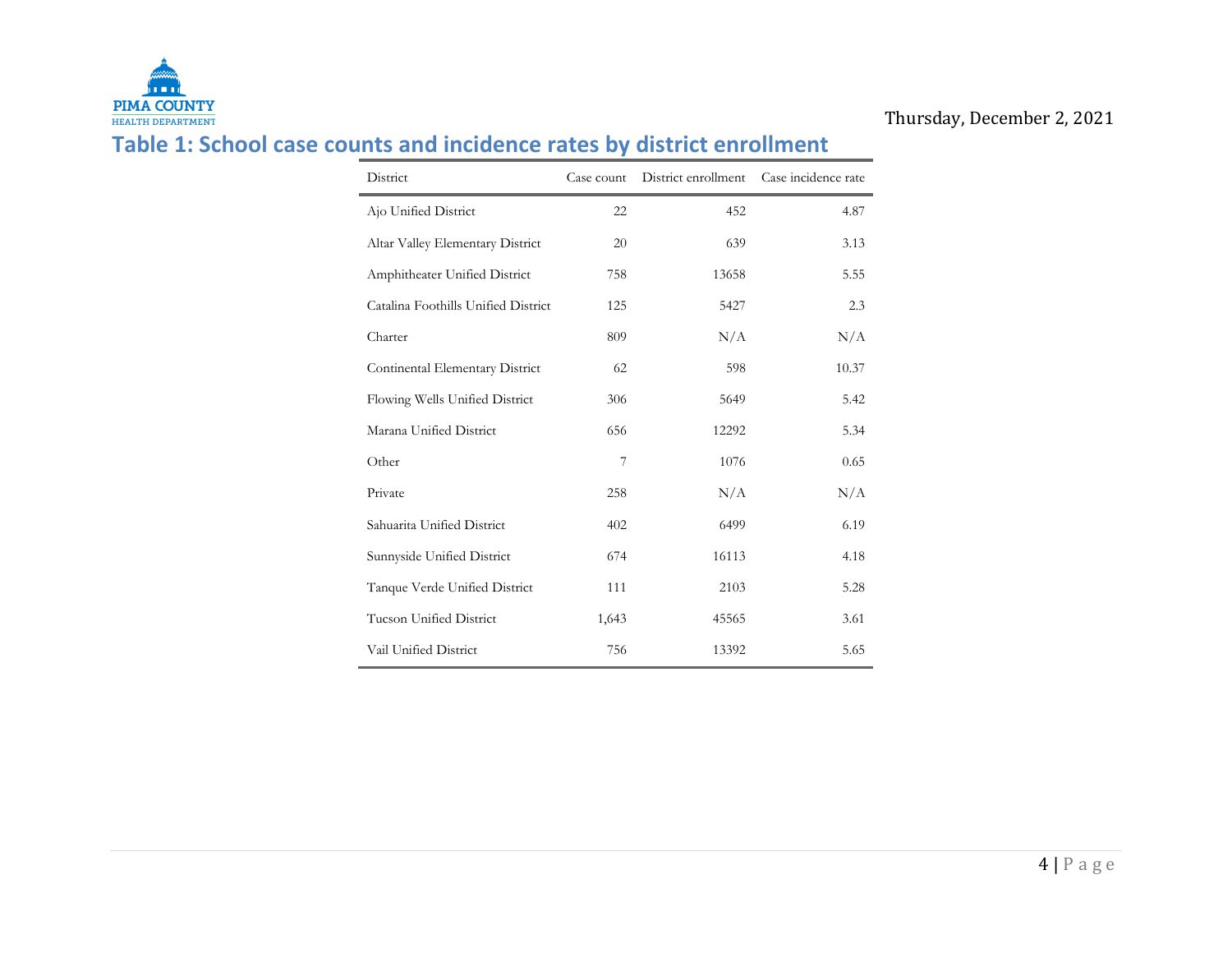

### Thursday, December 2, 2021

## **Table 1: School case counts and incidence rates by district enrollment**

| District                            | Case count | District enrollment Case incidence rate |       |
|-------------------------------------|------------|-----------------------------------------|-------|
| Ajo Unified District                | 22         | 452                                     | 4.87  |
| Altar Valley Elementary District    | 20         | 639                                     | 3.13  |
| Amphitheater Unified District       | 758        | 13658                                   | 5.55  |
| Catalina Foothills Unified District | 125        | 5427                                    | 2.3   |
| Charter                             | 809        | N/A                                     | N/A   |
| Continental Elementary District     | 62         | 598                                     | 10.37 |
| Flowing Wells Unified District      | 306        | 5649                                    | 5.42  |
| Marana Unified District             | 656        | 12292                                   | 5.34  |
| Other                               | 7          | 1076                                    | 0.65  |
| Private                             | 258        | N/A                                     | N/A   |
| Sahuarita Unified District          | 402        | 6499                                    | 6.19  |
| Sunnyside Unified District          | 674        | 16113                                   | 4.18  |
| Tanque Verde Unified District       | 111        | 2103                                    | 5.28  |
| Tucson Unified District             | 1,643      | 45565                                   | 3.61  |
| Vail Unified District               | 756        | 13392                                   | 5.65  |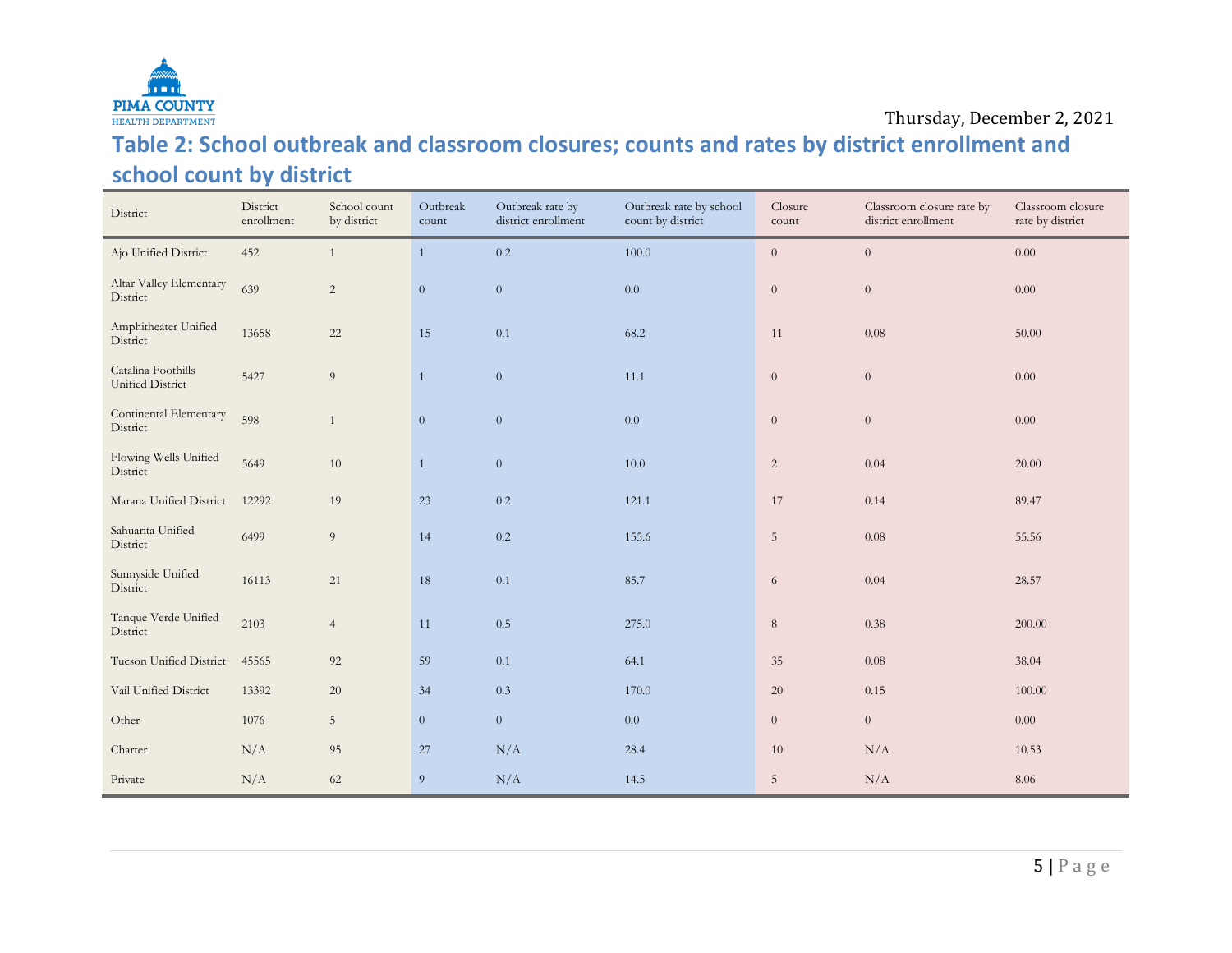

#### Thursday, December 2, 2021

## **Table 2: School outbreak and classroom closures; counts and rates by district enrollment and school count by district**

| District                               | District<br>enrollment | School count<br>by district | Outbreak<br>count | Outbreak rate by<br>district enrollment | Outbreak rate by school<br>count by district | Closure<br>count | Classroom closure rate by<br>district enrollment | Classroom closure<br>rate by district |
|----------------------------------------|------------------------|-----------------------------|-------------------|-----------------------------------------|----------------------------------------------|------------------|--------------------------------------------------|---------------------------------------|
| Ajo Unified District                   | 452                    | $\mathbf{1}$                | $\mathbf{1}$      | $0.2\,$                                 | 100.0                                        | $\overline{0}$   | $\overline{0}$                                   | $0.00\,$                              |
| Altar Valley Elementary<br>District    | 639                    | $\sqrt{2}$                  | $\theta$          | $\theta$                                | 0.0                                          | $\overline{0}$   | $\theta$                                         | 0.00                                  |
| Amphitheater Unified<br>District       | 13658                  | $22\,$                      | 15                | 0.1                                     | 68.2                                         | 11               | 0.08                                             | 50.00                                 |
| Catalina Foothills<br>Unified District | 5427                   | $\overline{9}$              | $\mathbf{1}$      | $\theta$                                | 11.1                                         | $\overline{0}$   | $\theta$                                         | $0.00\,$                              |
| Continental Elementary<br>District     | 598                    | 1                           | $\theta$          | $\theta$                                | 0.0                                          | $\overline{0}$   | $\theta$                                         | 0.00                                  |
| Flowing Wells Unified<br>District      | 5649                   | $10\,$                      | $\mathbf{1}$      | $\theta$                                | $10.0\,$                                     | $\overline{2}$   | 0.04                                             | 20.00                                 |
| Marana Unified District                | 12292                  | 19                          | $23\,$            | 0.2                                     | 121.1                                        | 17               | 0.14                                             | 89.47                                 |
| Sahuarita Unified<br>District          | 6499                   | $\overline{9}$              | 14                | $0.2\,$                                 | 155.6                                        | $5\phantom{.}$   | 0.08                                             | 55.56                                 |
| Sunnyside Unified<br>District          | 16113                  | 21                          | 18                | 0.1                                     | 85.7                                         | 6                | 0.04                                             | 28.57                                 |
| Tanque Verde Unified<br>District       | 2103                   | $\overline{4}$              | 11                | $0.5\,$                                 | 275.0                                        | $8\,$            | 0.38                                             | 200.00                                |
| Tucson Unified District                | 45565                  | 92                          | 59                | 0.1                                     | 64.1                                         | 35               | 0.08                                             | 38.04                                 |
| Vail Unified District                  | 13392                  | $20\,$                      | 34                | $0.3\,$                                 | 170.0                                        | $20\,$           | 0.15                                             | 100.00                                |
| Other                                  | 1076                   | $\mathbf 5$                 | $\boldsymbol{0}$  | $\boldsymbol{0}$                        | 0.0                                          | $\overline{0}$   | $\theta$                                         | 0.00                                  |
| Charter                                | N/A                    | 95                          | 27                | N/A                                     | 28.4                                         | 10               | N/A                                              | 10.53                                 |
| Private                                | N/A                    | 62                          | 9                 | N/A                                     | 14.5                                         | 5 <sup>5</sup>   | N/A                                              | 8.06                                  |